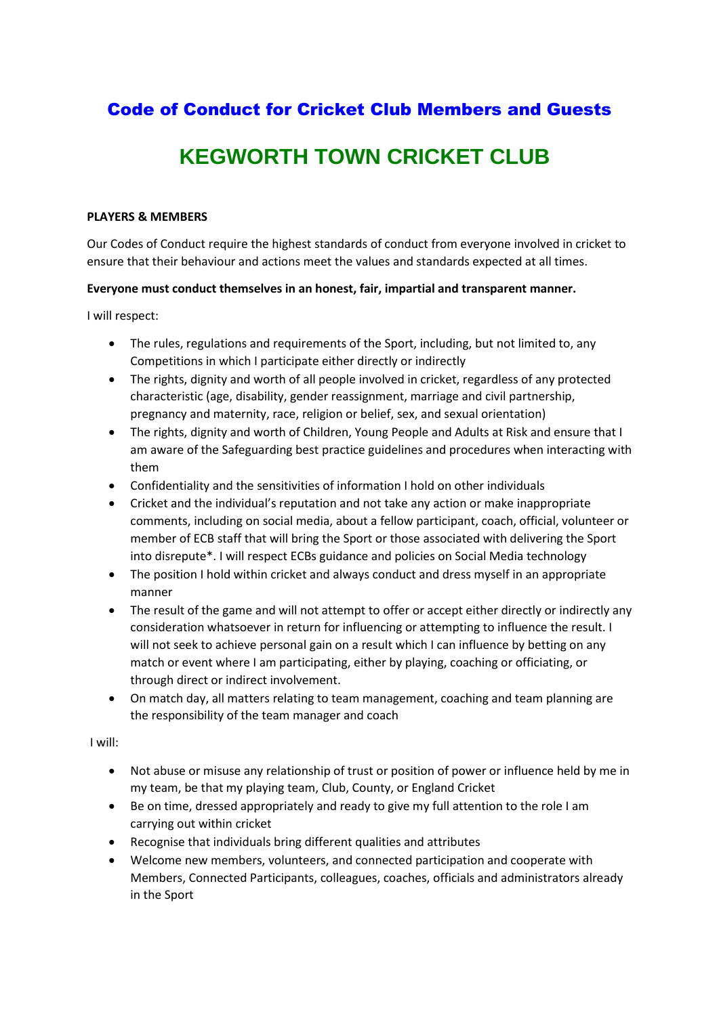## Code of Conduct for Cricket Club Members and Guests

# **KEGWORTH TOWN CRICKET CLUB**

#### **PLAYERS & MEMBERS**

Our Codes of Conduct require the highest standards of conduct from everyone involved in cricket to ensure that their behaviour and actions meet the values and standards expected at all times.

#### **Everyone must conduct themselves in an honest, fair, impartial and transparent manner.**

I will respect:

- The rules, regulations and requirements of the Sport, including, but not limited to, any Competitions in which I participate either directly or indirectly
- The rights, dignity and worth of all people involved in cricket, regardless of any protected characteristic (age, disability, gender reassignment, marriage and civil partnership, pregnancy and maternity, race, religion or belief, sex, and sexual orientation)
- The rights, dignity and worth of Children, Young People and Adults at Risk and ensure that I am aware of the Safeguarding best practice guidelines and procedures when interacting with them
- Confidentiality and the sensitivities of information I hold on other individuals
- Cricket and the individual's reputation and not take any action or make inappropriate comments, including on social media, about a fellow participant, coach, official, volunteer or member of ECB staff that will bring the Sport or those associated with delivering the Sport into disrepute\*. I will respect ECBs guidance and policies on Social Media technology
- The position I hold within cricket and always conduct and dress myself in an appropriate manner
- The result of the game and will not attempt to offer or accept either directly or indirectly any consideration whatsoever in return for influencing or attempting to influence the result. I will not seek to achieve personal gain on a result which I can influence by betting on any match or event where I am participating, either by playing, coaching or officiating, or through direct or indirect involvement.
- On match day, all matters relating to team management, coaching and team planning are the responsibility of the team manager and coach

#### I will:

- Not abuse or misuse any relationship of trust or position of power or influence held by me in my team, be that my playing team, Club, County, or England Cricket
- Be on time, dressed appropriately and ready to give my full attention to the role I am carrying out within cricket
- Recognise that individuals bring different qualities and attributes
- Welcome new members, volunteers, and connected participation and cooperate with Members, Connected Participants, colleagues, coaches, officials and administrators already in the Sport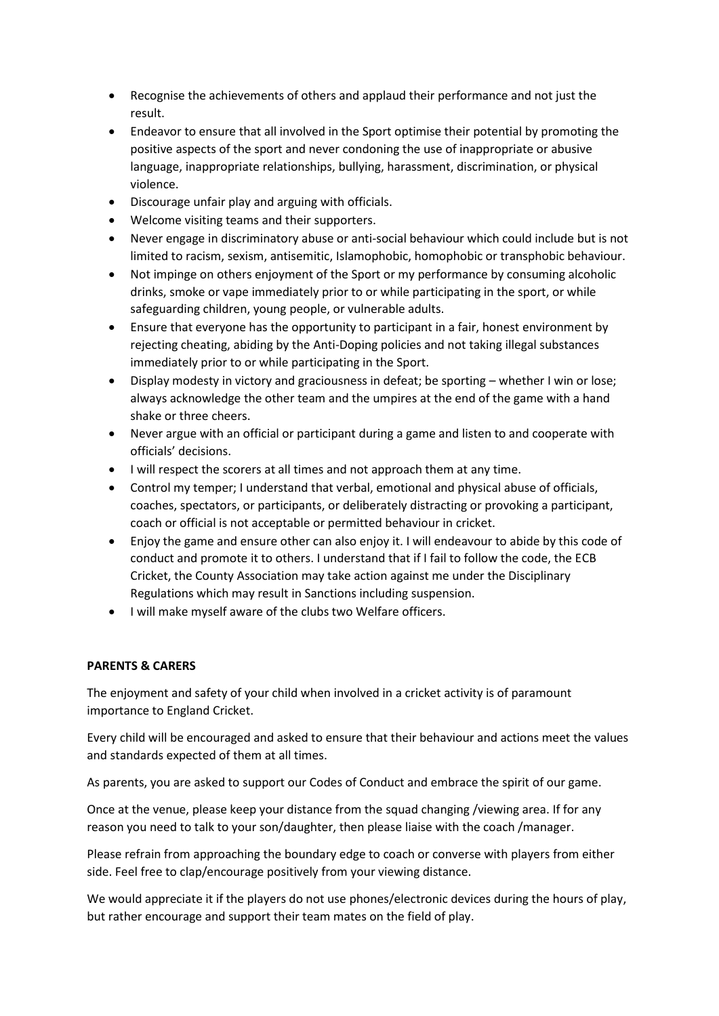- Recognise the achievements of others and applaud their performance and not just the result.
- Endeavor to ensure that all involved in the Sport optimise their potential by promoting the positive aspects of the sport and never condoning the use of inappropriate or abusive language, inappropriate relationships, bullying, harassment, discrimination, or physical violence.
- Discourage unfair play and arguing with officials.
- Welcome visiting teams and their supporters.
- Never engage in discriminatory abuse or anti-social behaviour which could include but is not limited to racism, sexism, antisemitic, Islamophobic, homophobic or transphobic behaviour.
- Not impinge on others enjoyment of the Sport or my performance by consuming alcoholic drinks, smoke or vape immediately prior to or while participating in the sport, or while safeguarding children, young people, or vulnerable adults.
- Ensure that everyone has the opportunity to participant in a fair, honest environment by rejecting cheating, abiding by the Anti-Doping policies and not taking illegal substances immediately prior to or while participating in the Sport.
- Display modesty in victory and graciousness in defeat; be sporting whether I win or lose; always acknowledge the other team and the umpires at the end of the game with a hand shake or three cheers.
- Never argue with an official or participant during a game and listen to and cooperate with officials' decisions.
- I will respect the scorers at all times and not approach them at any time.
- Control my temper; I understand that verbal, emotional and physical abuse of officials, coaches, spectators, or participants, or deliberately distracting or provoking a participant, coach or official is not acceptable or permitted behaviour in cricket.
- Enjoy the game and ensure other can also enjoy it. I will endeavour to abide by this code of conduct and promote it to others. I understand that if I fail to follow the code, the ECB Cricket, the County Association may take action against me under the Disciplinary Regulations which may result in Sanctions including suspension.
- I will make myself aware of the clubs two Welfare officers.

### **PARENTS & CARERS**

The enjoyment and safety of your child when involved in a cricket activity is of paramount importance to England Cricket.

Every child will be encouraged and asked to ensure that their behaviour and actions meet the values and standards expected of them at all times.

As parents, you are asked to support our Codes of Conduct and embrace the spirit of our game.

Once at the venue, please keep your distance from the squad changing /viewing area. If for any reason you need to talk to your son/daughter, then please liaise with the coach /manager.

Please refrain from approaching the boundary edge to coach or converse with players from either side. Feel free to clap/encourage positively from your viewing distance.

We would appreciate it if the players do not use phones/electronic devices during the hours of play, but rather encourage and support their team mates on the field of play.